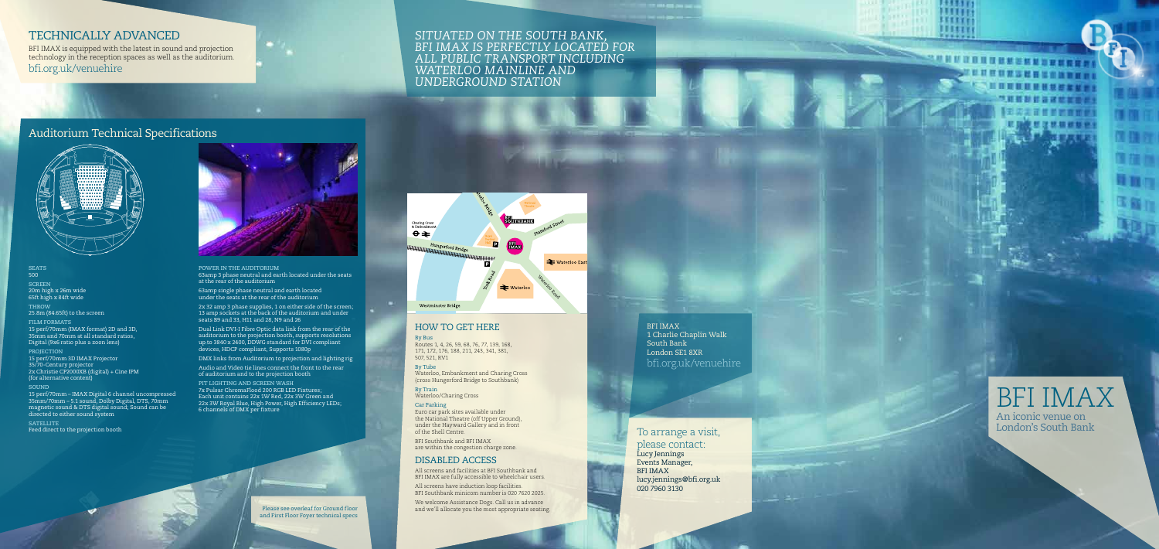Please see overleaf for Ground floor and First Floor Foyer technical specs

#### *Situated on the South Bank, BFI IMAX is perfectly located for all public transport including Waterloo Mainline and Underground Station*

BFI IMAX 1 Charlie Chaplin Walk South Bank London SE1 8XR bfi.org.uk/venuehire

#### How to get here

By Bus Routes 1, 4, 26, 59, 68, 76, 77, 139, 168, 171, 172, 176, 188, 211, 243, 341, 381, 507, 521, RV1

All screens have induction loop facilities. BFI Southbank minicom number is 020 7620 2025.

By Tube Waterloo, Embankment and Charing Cross (cross Hungerford Bridge to Southbank)

By Train Waterloo/Charing Cross

Car Parking Euro car park sites available under the National Theatre (off Upper Ground), under the Hayward Gallery and in front of the Shell Centre.

BFI Southbank and BFI IMAX are within the congestion charge zone.

#### DISABLED ACCESS

All screens and facilities at BFI Southbank and BFI IMAX are fully accessible to wheelchair users.

We welcome Assistance Dogs. Call us in advance and we'll allocate you the most appropriate seating.

#### To arrange a visit, please contact: Lucy Jennings Events Manager, BFI IMAX lucy.jennings@bfi.org.uk 020 7960 3130



#### Technically advanced

BFI IMAX is equipped with the latest in sound and projection technology in the reception spaces as well as the auditorium. bfi.org.uk/venuehire

**SEATS** 500 **SCREEN** 20m high x 26m wide 65ft high x 84ft wide **THROW**

25.8m (84.65ft) to the screen

**FILM FORMATS** 15 perf/70mm (IMAX format) 2D and 3D, 35mm and 70mm at all standard ratios, Digital (9x6 ratio plus a zoon lens)

**PROJECTION**

15 perf/70mm 3D IMAX Projector 35/70-Century projector 2x Christie CP2000XB (digital) + Cine IPM (for alternative content)

**SOUND**

15 perf/70mm – IMAX Digital 6 channel uncompressed 35mm/70mm – 5.1 sound, Dolby Digital, DTS, 70mm magnetic sound & DTS digital sound; Sound can be directed to either sound system

**SATELLITE** Feed direct to the projection booth



**POWER IN THE AUDITORIUM** 63amp 3 phase neutral and earth located under the seats at the rear of the auditorium

63amp single phase neutral and earth located under the seats at the rear of the auditorium

2x 32 amp 3 phase supplies, 1 on either side of the screen; 13 amp sockets at the back of the auditorium and under seats B9 and 33, H11 and 28, N9 and 26

Dual Link DVI-I Fibre Optic data link from the rear of the auditorium to the projection booth, supports resolutions up to 3840 x 2400, DDWG standard for DVI compliant devices, HDCP compliant, Supports 1080p

DMX links from Auditorium to projection and lighting rig

Audio and Video tie lines connect the front to the rear of auditorium and to the projection booth

**PIT LIGHTING AND SCREEN WASH** 7x Pulsar ChromaFlood 200 RGB LED Fixtures; Each unit contains 22x 1W Red, 22x 3W Green and 22x 3W Royal Blue, High Power, High Efficiency LEDs; 6 channels of DMX per fixture

### Auditorium Technical Specifications





**ELLETT** mm  $1111111$ Witti  $275222$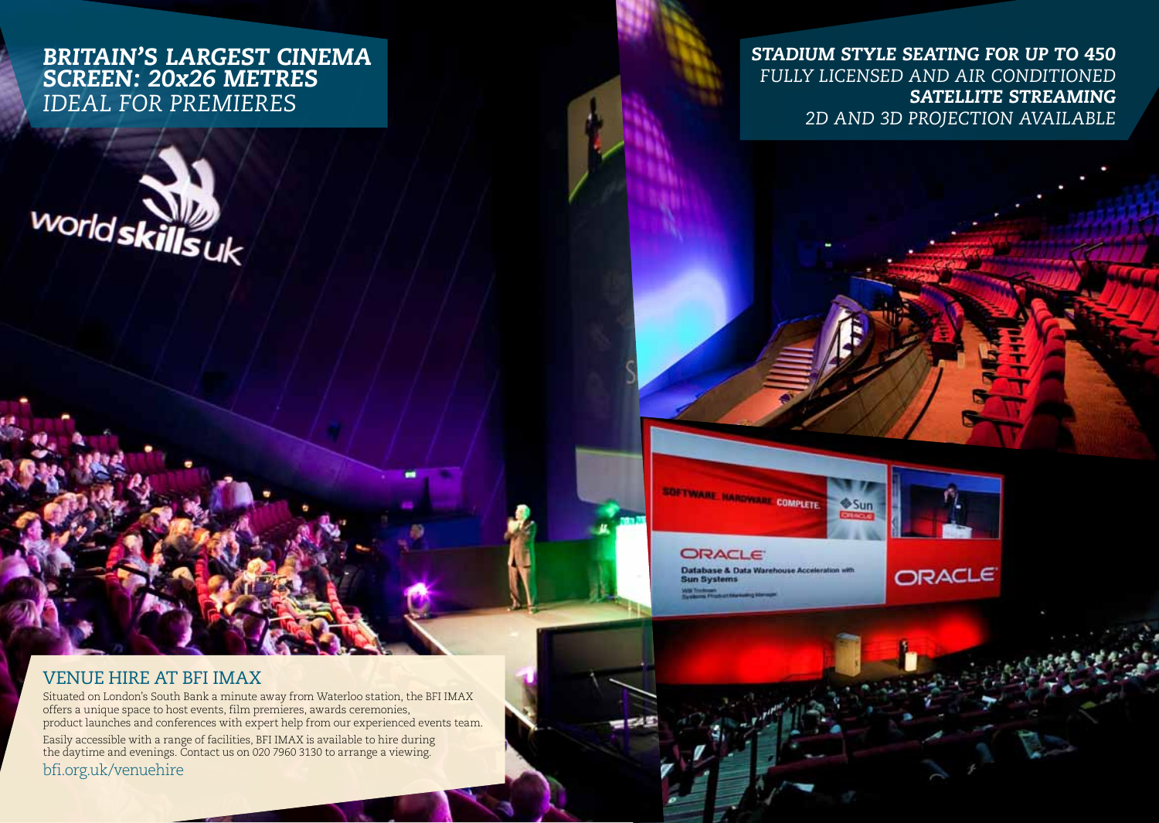# *Britain's largest cinema screen: 20x26 metres IDEAL FOR PREMIERES*



# *Stadium style seating for up to 450 Fully licensed and air conditioned Satellite streaming 2D and 3D projection available*

SOFTWARE HARDWARE COMPLETE



ORACLE

# **ORACLE**

Database & Data Warehouse Acceleration with **Sun Systems** Will Treatment<br>The American Photography Edward

# venue hire at BFI IMAX

Situated on London's South Bank a minute away from Waterloo station, the BFI IMAX offers a unique space to host events, film premieres, awards ceremonies, product launches and conferences with expert help from our experienced events team. Easily accessible with a range of facilities, BFI IMAX is available to hire during the daytime and evenings. Contact us on 020 7960 3130 to arrange a viewing. bfi.org.uk/venuehire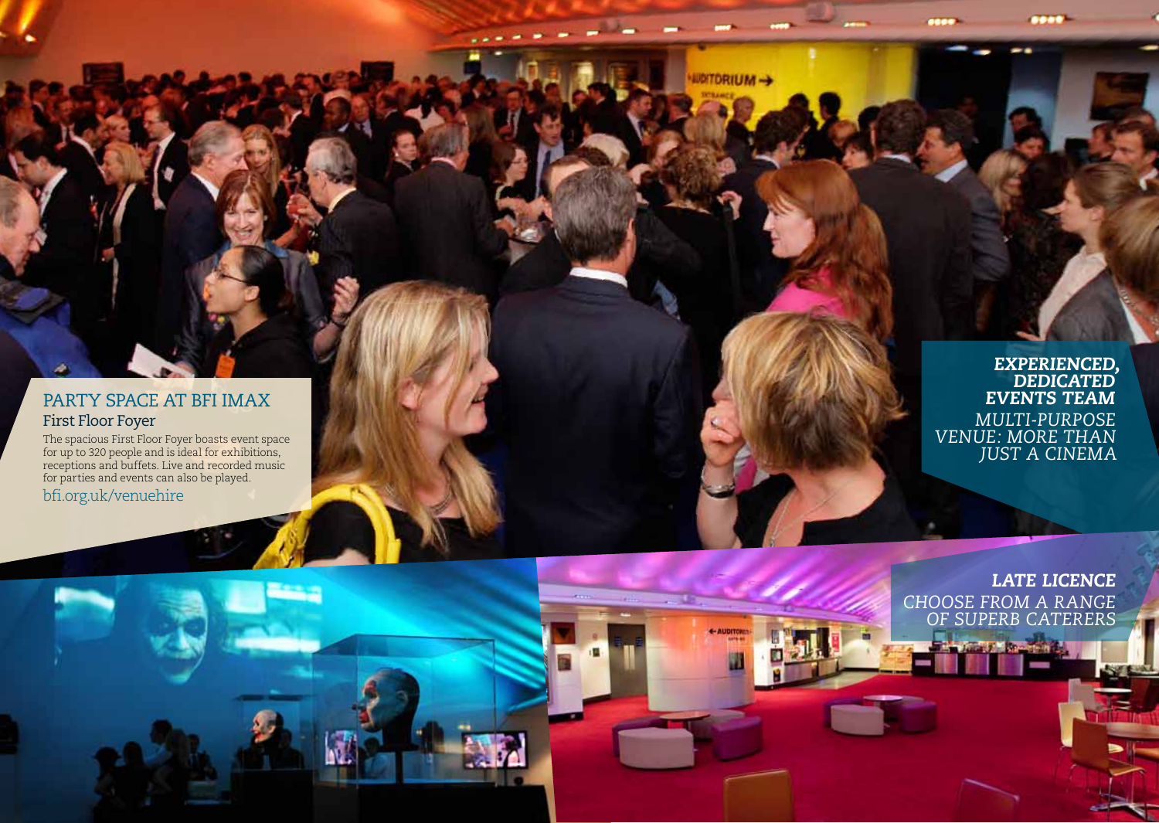#### PARTY SPACE AT BFI IMAX First Floor Foyer

The spacious First Floor Foyer boasts event space for up to 320 people and is ideal for exhibitions, receptions and buffets. Live and recorded music for parties and events can also be played. bfi.org.uk/venuehire

*Experienced, dedicated event s team Multi-purpo se*   $VENUE: MORET$ *JU S T A CINE M A*

**WUITORIUM-+** 

*LATE LICENCE CHOOSE FROM A R. OF super b CATERER S*